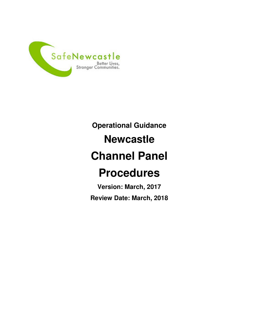

# **Operational Guidance Newcastle Channel Panel Procedures**

**Version: March, 2017 Review Date: March, 2018**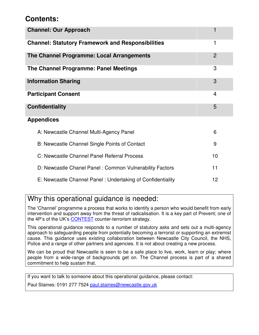### **Contents:**

| <b>Channel: Our Approach</b>                               |                |
|------------------------------------------------------------|----------------|
| <b>Channel: Statutory Framework and Responsibilities</b>   | 1              |
| The Channel Programme: Local Arrangements                  | $\overline{2}$ |
| The Channel Programme: Panel Meetings                      | 3              |
| <b>Information Sharing</b>                                 | 3              |
| <b>Participant Consent</b>                                 | 4              |
| <b>Confidentiality</b>                                     | 5              |
| <b>Appendices</b>                                          |                |
| A: Newcastle Channel Multi-Agency Panel                    | 6              |
| B: Newcastle Channel Single Points of Contact              | 9              |
| C: Newcastle Channel Panel Referral Process                | 10             |
| D: Newcastle Chanel Panel: Common Vulnerability Factors    | 11             |
| E: Newcastle Channel Panel: Undertaking of Confidentiality | 12             |

### Why this operational guidance is needed:

The 'Channel' programme a process that works to identify a person who would benefit from early intervention and support away from the threat of radicalisation. It is a key part of Prevent; one of the 4P's of the UK's CONTEST counter-terrorism strategy.

This operational guidance responds to a number of statutory asks and sets out a multi-agency approach to safeguarding people from potentially becoming a terrorist or supporting an extremist cause. This guidance uses existing collaboration between Newcastle City Council, the NHS, Police and a range of other partners and agencies. It is not about creating a new process.

We can be proud that Newcastle is seen to be a safe place to live, work, learn or play; where people from a wide-range of backgrounds get on. The Channel process is part of a shared commitment to help sustain that.

If you want to talk to someone about this operational guidance, please contact:

Paul Staines: 0191 277 7524 paul.staines@newcastle.gov.uk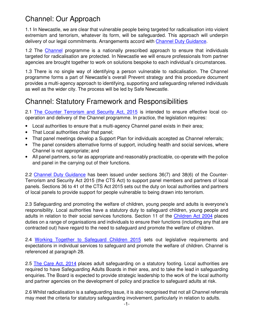## Channel: Our Approach

1.1 In Newcastle, we are clear that vulnerable people being targeted for radicalisation into violent extremism and terrorism, whatever its form, will be safeguarded. This approach will underpin delivery of our legal commitments. Arrangements accord with Channel Duty Guidance.

1.2 The Channel programme is a nationally prescribed approach to ensure that individuals targeted for radicalisation are protected. In Newcastle we will ensure professionals from partner agencies are brought together to work on solutions bespoke to each individual's circumstances.

1.3 There is no single way of identifying a person vulnerable to radicalisation. The Channel programme forms a part of Newcastle's overall Prevent strategy and this procedure document provides a multi-agency approach to identifying, supporting and safeguarding referred individuals as well as the wider city. The process will be led by Safe Newcastle.

### Channel: Statutory Framework and Responsibilities

2.1 The Counter Terrorism and Security Act, 2015 is intended to ensure effective local cooperation and delivery of the Channel programme. In practice, the legislation requires:

- Local authorities to ensure that a multi-agency Channel panel exists in their area;
- That Local authorities chair that panel;
- That panel meetings develop a Support Plan for individuals accepted as Channel referrals;
- The panel considers alternative forms of support, including health and social services, where Channel is not appropriate; and
- All panel partners, so far as appropriate and reasonably practicable, co-operate with the police and panel in the carrying out of their functions.

2.2 Channel Duty Guidance has been issued under sections 36(7) and 38(6) of the Counter-Terrorism and Security Act 2015 (the CTS Act) to support panel members and partners of local panels. Sections 36 to 41 of the CTS Act 2015 sets out the duty on local authorities and partners of local panels to provide support for people vulnerable to being drawn into terrorism.

2.3 Safeguarding and promoting the welfare of children, young people and adults is everyone's responsibility. Local authorities have a statutory duty to safeguard children, young people and adults in relation to their social services functions. Section 11 of the Children Act 2004 places duties on a range of organisations and individuals to ensure their functions (including any that are contracted out) have regard to the need to safeguard and promote the welfare of children.

2.4 Working Together to Safeguard Children 2015 sets out legislative requirements and expectations in individual services to safeguard and promote the welfare of children. Channel is referenced at paragraph 28.

2.5 The Care Act, 2014 places adult safeguarding on a statutory footing. Local authorities are required to have Safeguarding Adults Boards in their area, and to take the lead in safeguarding enquiries. The Board is expected to provide strategic leadership to the work of the local authority and partner agencies on the development of policy and practice to safeguard adults at risk.

2.6 Whilst radicalisation is a safeguarding issue, it is also recognised that not all Channel referrals may meet the criteria for statutory safeguarding involvement, particularly in relation to adults.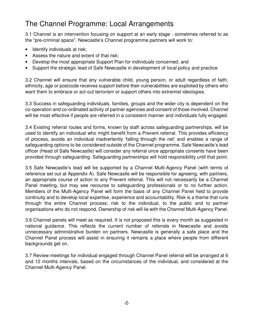## The Channel Programme: Local Arrangements

3.1 Channel is an intervention focusing on support at an early stage - sometimes referred to as the "pre-criminal space". Newcastle's Channel programme partners will work to:

- Identify individuals at risk;
- Assess the nature and extent of that risk;
- Develop the most appropriate Support Plan for individuals concerned; and
- Support the strategic lead of Safe Newcastle in development of local policy and practice

3.2 Channel will ensure that any vulnerable child, young person, or adult regardless of faith, ethnicity, age or postcode receives support before their vulnerabilities are exploited by others who want them to embrace or act-out terrorism or support others into extremist ideologies.

3.3 Success in safeguarding individuals, families, groups and the wider city is dependent on the co-operation and co-ordinated activity of partner agencies and consent of those involved. Channel will be most effective if people are referred in a consistent manner and individuals fully engaged.

3.4 Existing referral routes and forms, known by staff across safeguarding partnerships, will be used to identify an individual who might benefit from a Prevent referral. This provides efficiency of process, avoids an individual inadvertently 'falling through the net' and enables a range of safeguarding options to be considered outside of the Channel programme. Safe Newcastle's lead officer (Head of Safe Newcastle) will consider any referral once appropriate consents have been provided through safeguarding. Safeguarding partnerships will hold responsibility until that point.

3.5 Safe Newcastle's lead will be supported by a Channel Multi-Agency Panel (with terms of reference set out at Appendix A). Safe Newcastle will be responsible for agreeing, with partners, an appropriate course of action to any Prevent referral. This will not necessarily be a Channel Panel meeting, but may see recourse to safeguarding professionals or to no further action. Members of the Multi-Agency Panel will form the basis of any Channel Panel held to provide continuity and to develop local expertise, experience and accountability. Risk is a theme that runs through the entire Channel process; risk to the individual, to the public and to partner organisations who do not respond. Ownership of risk will lie with the Channel Multi-Agency Panel.

3.6 Channel panels will meet as required. It is not proposed this is every month as suggested in national guidance. This reflects the current number of referrals in Newcastle and avoids unnecessary administrative burden on partners. Newcastle is generally a safe place and the Channel Panel process will assist in ensuring it remains a place where people from different backgrounds get on.

3.7 Review meetings for individual engaged through Channel Panel referral will be arranged at 6 and 12 months intervals, based on the circumstances of the individual, and considered at the Channel Multi-Agency Panel.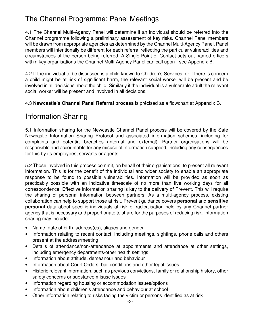# The Channel Programme: Panel Meetings

4.1 The Channel Multi-Agency Panel will determine if an individual should be referred into the Channel programme following a preliminary assessment of key risks. Channel Panel members will be drawn from appropriate agencies as determined by the Channel Multi-Agency Panel. Panel members will intentionally be different for each referral reflecting the particular vulnerabilities and circumstances of the person being referred. A Single Point of Contact sets out named officers within key organisations the Channel Multi-Agency Panel can call upon - see Appendix B.

4.2 If the individual to be discussed is a child known to Children's Services, or if there is concern a child might be at risk of significant harm, the relevant social worker will be present and be involved in all decisions about the child. Similarly if the individual is a vulnerable adult the relevant social worker will be present and involved in all decisions.

4.3 **Newcastle's Channel Panel Referral process** is précised as a flowchart at Appendix C.

### Information Sharing

5.1 Information sharing for the Newcastle Channel Panel process will be covered by the Safe Newcastle Information Sharing Protocol and associated information schemes, including for complaints and potential breaches (internal and external). Partner organisations will be responsible and accountable for any misuse of information supplied, including any consequences for this by its employees, servants or agents.

5.2 Those involved in this process commit, on behalf of their organisations, to present all relevant information. This is for the benefit of the individual and wider society to enable an appropriate response to be found to possible vulnerabilities. Information will be provided as soon as practicably possible with an indicative timescale of no more than five working days for all correspondence. Effective information sharing is key to the delivery of Prevent. This will require the sharing of personal information between partners. As a multi-agency process, existing collaboration can help to support those at risk. Prevent guidance covers **personal** and **sensitive personal** data about specific individuals at risk of radicalisation held by any Channel partner agency that is necessary and proportionate to share for the purposes of reducing risk. Information sharing may include:

- Name, date of birth, address(es), aliases and gender
- Information relating to recent contact, including meetings, sightings, phone calls and others present at the address/meeting
- Details of attendance/non-attendance at appointments and attendance at other settings, including emergency departments/other health settings
- Information about attitude, demeanour and behaviour
- Information about Court Orders, bail conditions and other legal issues
- Historic relevant information, such as previous convictions, family or relationship history, other safety concerns or substance misuse issues
- Information regarding housing or accommodation issues/options
- Information about children's attendance and behaviour at school
- Other information relating to risks facing the victim or persons identified as at risk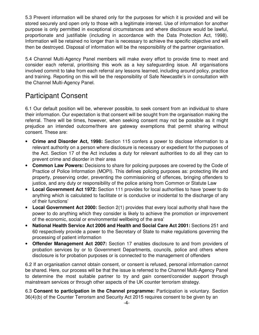5.3 Prevent information will be shared only for the purposes for which it is provided and will be stored securely and open only to those with a legitimate interest. Use of information for another purpose is only permitted in exceptional circumstances and where disclosure would be lawful, proportionate and justifiable (including in accordance with the Data Protection Act, 1998). Information will be retained no longer than is necessary to achieve the specific objective and will then be destroyed. Disposal of information will be the responsibility of the partner organisation.

5.4 Channel Multi-Agency Panel members will make every effort to provide time to meet and consider each referral, prioritising this work as a key safeguarding issue. All organisations involved commit to take from each referral any lessons learned, including around policy, practice and training. Reporting on this will be the responsibility of Safe Newcastle's in consultation with the Channel Multi-Agency Panel.

### Participant Consent

6.1 Our default position will be, wherever possible, to seek consent from an individual to share their information. Our expectation is that consent will be sought from the organisation making the referral. There will be times, however, when seeking consent may not be possible as it might prejudice an intended outcome/there are gateway exemptions that permit sharing without consent. These are:

- **Crime and Disorder Act, 1998:** Section 115 confers a power to disclose information to a relevant authority on a person where disclosure is necessary or expedient for the purposes of the Act. Section 17 of the Act includes a duty for relevant authorities to do all they can to prevent crime and disorder in their area
- **Common Law Powers:** Decisions to share for policing purposes are covered by the Code of Practice of Police Information (MOPI). This defines policing purposes as: protecting life and property, preserving order, preventing the commissioning of offences, bringing offenders to justice, and any duty or responsibility of the police arising from Common or Statute Law
- **Local Government Act 1972:** Section 111 provides for local authorities to have 'power to do anything which is calculated to facilitate or is conducive or incidental to the discharge of any of their functions'
- **Local Government Act 2000:** Section 2(1) provides that every local authority shall have the power to do anything which they consider is likely to achieve the promotion or improvement of the economic, social or environmental wellbeing of the area'
- **National Health Service Act 2006 and Health and Social Care Act 2001:** Sections 251 and 60 respectively provide a power to the Secretary of State to make regulations governing the processing of patient information
- **Offender Management Act 2007:** Section 17 enables disclosure to and from providers of probation services by or to Government Departments, councils, police and others where disclosure is for probation purposes or is connected to the management of offenders

6.2 If an organisation cannot obtain consent, or consent is refused, personal information cannot be shared. Here, our process will be that the issue is referred to the Channel Multi-Agency Panel to determine the most suitable partner to try and gain consent/consider support through mainstream services or through other aspects of the UK counter terrorism strategy.

6.3 **Consent to participation in the Channel programme:** Participation is voluntary. Section 36(4)(b) of the Counter Terrorism and Security Act 2015 requires consent to be given by an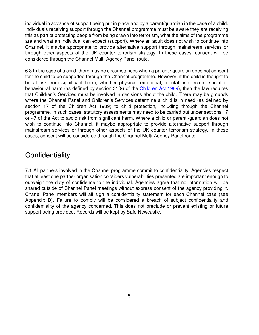individual in advance of support being put in place and by a parent/guardian in the case of a child. Individuals receiving support through the Channel programme must be aware they are receiving this as part of protecting people from being drawn into terrorism, what the aims of the programme are and what an individual can expect (support). Where an adult does not wish to continue into Channel, it maybe appropriate to provide alternative support through mainstream services or through other aspects of the UK counter terrorism strategy. In these cases, consent will be considered through the Channel Multi-Agency Panel route.

6.3 In the case of a child, there may be circumstances when a parent / guardian does not consent for the child to be supported through the Channel programme. However, if the child is thought to be at risk from significant harm, whether physical, emotional, mental, intellectual, social or behavioural harm (as defined by section 31(9) of the Children Act 1989), then the law requires that Children's Services must be involved in decisions about the child. There may be grounds where the Channel Panel and Children's Services determine a child is in need (as defined by section 17 of the Children Act 1989) to child protection, including through the Channel programme. In such cases, statutory assessments may need to be carried out under sections 17 or 47 of the Act to avoid risk from significant harm. Where a child or parent /guardian does not wish to continue into Channel, it maybe appropriate to provide alternative support through mainstream services or through other aspects of the UK counter terrorism strategy. In these cases, consent will be considered through the Channel Multi-Agency Panel route.

### **Confidentiality**

7.1 All partners involved in the Channel programme commit to confidentiality. Agencies respect that at least one partner organisation considers vulnerabilities presented are important enough to outweigh the duty of confidence to the individual. Agencies agree that no information will be shared outside of Channel Panel meetings without express consent of the agency providing it. Chanel Panel members will all sign a confidentiality statement for each Channel case (see Appendix D). Failure to comply will be considered a breach of subject confidentiality and confidentiality of the agency concerned. This does not preclude or prevent existing or future support being provided. Records will be kept by Safe Newcastle.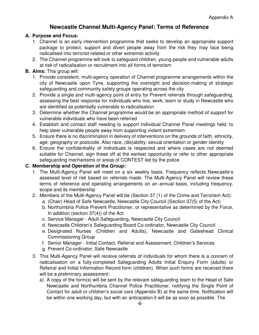#### **Newcastle Channel Multi-Agency Panel: Terms of Reference**

#### **A. Purpose and Focus:**

- 1. Channel is an early intervention programme that seeks to develop an appropriate support package to protect, support and divert people away from the risk they may face being radicalised into terrorist-related or other extremist activity
- 2. The Channel programme will look to safeguard children, young people and vulnerable adults at risk of radicalisation or recruitment into all forms of terrorism

#### **B. Aims:** This group will:

- 1. Provide consistent, multi-agency operation of Channel programme arrangements within the city of Newcastle upon Tyne, supporting the oversight and decision-making of strategic safeguarding and community safety groups operating across the city
- 2. Provide a single and multi-agency point of entry for Prevent referrals through safeguarding, assessing the best response for individuals who live, work, learn or study in Newcastle who are identified as potentially vulnerable to radicalisation
- 3. Determine whether the Channel programme would be an appropriate method of support for vulnerable individuals who have been referred
- 4. Establish and contact staff needing to support individual Channel Panel meetings held, to help steer vulnerable people away from supporting violent extremism
- 5. Ensure there is no discrimination in delivery of interventions on the grounds of faith, ethnicity, age, geography or postcode. Also race, (dis)ability, sexual orientation or gender identity
- 6. Ensure the confidentiality of individuals is respected and where cases are not deemed suitable for Channel, sign these off at the earliest opportunity or refer to other appropriate safeguarding mechanisms or areas of CONTEST led by the police

#### **C. Membership and Operation of the Group:**

- 1. The Multi-Agency Panel will meet on a six weekly basis. Frequency reflects Newcastle's assessed level of risk based on referrals made. The Multi-Agency Panel will review these terms of reference and operating arrangements on an annual basis, including frequency, scope and its membership
- 2. Members of the Multi-Agency Panel will be (Section 37 (1) of the Crime and Terrorism Act):
	- a. (Chair) Head of Safe Newcastle, Newcastle City Council (Section 37(5) of the Act)
	- b. Northumbria Police Prevent Practitioner, or representative as determined by the Force, In addition (section 37(4)) of the Act:
	- c. Service Manager Adult Safeguarding, Newcastle City Council
	- d. Newcastle Children's Safeguarding Board Co-ordinator, Newcastle City Council
	- e. Designated Nurses (Children and Adults), Newcastle and Gateshead Clinical Commissioning Group
	- f. Senior Manager Initial Contact, Referral and Assessment, Children's Services
	- g. Prevent Co-ordinator, Safe Newcastle
- 3. This Multi-Agency Panel will receive referrals of individuals for whom there is a concern of radicalisation on a fully-completed Safeguarding Adults Initial Enquiry Form (adults) or Referral and Initial Information Record form (children). When such forms are received there will be a preliminary assessment:
	- a) A copy of the form(s) will be sent by the relevant safeguarding team to the Head of Safe Newcastle and Northumbria Channel Police Practitioner, notifying the Single Point of Contact for adult or children's social care (Appendix B) at the same time. Notification will be within one working day, but with an anticipation it will be as soon as possible. The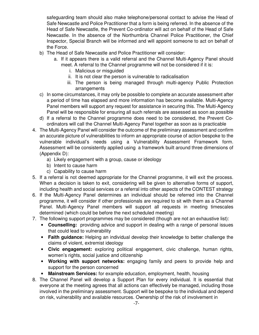safeguarding team should also make telephone/personal contact to advise the Head of Safe Newcastle and Police Practitioner that a form is being referred. In the absence of the Head of Safe Newcastle, the Prevent Co-ordinator will act on behalf of the Head of Safe Newcastle. In the absence of the Northumbria Channel Police Practitioner, the Chief Inspector, Special Branch will be informed and will appoint someone to act on behalf of the Force.

- b) The Head of Safe Newcastle and Police Practitioner will consider:
	- a. If it appears there is a valid referral and the Channel Multi-Agency Panel should meet. A referral to the Channel programme will not be considered if it is:
		- i. Malicious or misguided
		- ii. It is not clear the person is vulnerable to radicalisation
		- iii. The person is being managed through multi-agency Public Protection arrangements
- c) In some circumstances, it may only be possible to complete an accurate assessment after a period of time has elapsed and more information has become available. Multi-Agency Panel members will support any request for assistance in securing this. The Multi-Agency Panel will be responsible for ensuring all such referrals are assessed as soon as possible
- d) If a referral to the Channel programme does need to be considered, the Prevent Coordinators will call the Channel Multi-Agency Panel together as soon as is practicable
- 4. The Multi-Agency Panel will consider the outcome of the preliminary assessment and confirm an accurate picture of vulnerabilities to inform an appropriate course of action bespoke to the vulnerable individual's needs using a Vulnerability Assessment Framework form. Assessment will be consistently applied using a framework built around three dimensions of (Appendix D):
	- a) Likely engagement with a group, cause or ideology
	- b) Intent to cause harm
	- c) Capability to cause harm
- 5. If a referral is not deemed appropriate for the Channel programme, it will exit the process. When a decision is taken to exit, considering will be given to alternative forms of support, including health and social services or a referral into other aspects of the CONTEST strategy
- 6. If the Multi-Agency Panel determines an individual should be referred into the Channel programme, it will consider if other professionals are required to sit with them as a Channel Panel. Multi-Agency Panel members will support all requests in meeting timescales determined (which could be before the next scheduled meeting)
- 7. The following support programmes may be considered (though are not an exhaustive list):
	- **Counselling:** providing advice and support in dealing with a range of personal issues that could lead to vulnerability
	- **Faith guidance:** Helping an individual develop their knowledge to better challenge the claims of violent, extremist ideology
	- **Civic engagement:** exploring political engagement, civic challenge, human rights, women's rights, social justice and citizenship
	- **Working with support networks:** engaging family and peers to provide help and support for the person concerned
	- **Mainstream Services:** for example education, employment, health, housing
- 8. The Channel Panel will develop a Support Plan for every individual. It is essential that everyone at the meeting agrees that all actions can effectively be managed, including those involved in the preliminary assessment. Support will be bespoke to the individual and depend on risk, vulnerability and available resources. Ownership of the risk of involvement in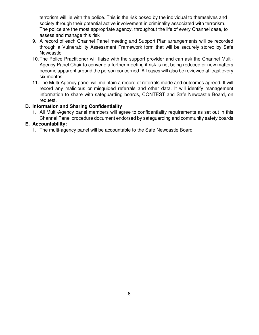terrorism will lie with the police. This is the risk posed by the individual to themselves and society through their potential active involvement in criminality associated with terrorism. The police are the most appropriate agency, throughout the life of every Channel case, to assess and manage this risk

- 9. A record of each Channel Panel meeting and Support Plan arrangements will be recorded through a Vulnerability Assessment Framework form that will be securely stored by Safe Newcastle
- 10. The Police Practitioner will liaise with the support provider and can ask the Channel Multi-Agency Panel Chair to convene a further meeting if risk is not being reduced or new matters become apparent around the person concerned. All cases will also be reviewed at least every six months
- 11. The Multi-Agency panel will maintain a record of referrals made and outcomes agreed. It will record any malicious or misguided referrals and other data. It will identify management information to share with safeguarding boards, CONTEST and Safe Newcastle Board, on request.

#### **D. Information and Sharing Confidentiality**

1. All Multi-Agency panel members will agree to confidentiality requirements as set out in this Channel Panel procedure document endorsed by safeguarding and community safety boards

#### **E. Accountability:**

1. The multi-agency panel will be accountable to the Safe Newcastle Board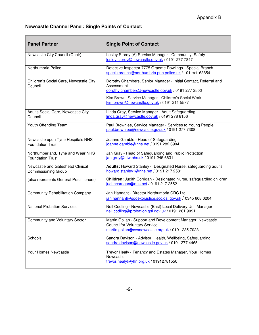#### **Newcastle Channel Panel: Single Points of Contact:**

| <b>Panel Partner</b>                                           | <b>Single Point of Contact</b>                                                                                                                                                                                                           |
|----------------------------------------------------------------|------------------------------------------------------------------------------------------------------------------------------------------------------------------------------------------------------------------------------------------|
| Newcastle City Council (Chair)                                 | Lesley Storey (A) Service Manager - Community Safety<br>lesley.storey@newcastle.gov.uk / 0191 277 7847                                                                                                                                   |
| Northumbria Police                                             | Detective Inspector 7775 Graeme Rowlings - Special Branch<br>specialbranch@northumbria.pnn.police.uk / 101 ext. 63854                                                                                                                    |
| Children's Social Care, Newcastle City<br>Council              | Dorothy Chambers, Senior Manager - Initial Contact, Referral and<br>Assessment<br>dorothy.chambers@newcastle.gov.uk / 0191 277 2500<br>Kim Brown, Service Manager - Children's Social Work<br>kim.brown@newcastle.gov.uk / 0191 211 5577 |
| Adults Social Care, Newcastle City<br>Council                  | Linda Gray, Service Manager - Adult Safeguarding<br>linda.gray@newcastle.gov.uk / 0191 278 8156                                                                                                                                          |
| Youth Offending Team                                           | Paul Brownlee, Service Manager - Services to Young People<br>paul.brownlee@newcastle.gov.uk / 0191 277 7308                                                                                                                              |
| Newcastle upon Tyne Hospitals NHS<br><b>Foundation Trust</b>   | Joanne Gamble - Head of Safeguarding<br>joanne.gamble@nhs.net / 0191 282 6904                                                                                                                                                            |
| Northumberland, Tyne and Wear NHS<br><b>Foundation Trust</b>   | Jan Gray - Head of Safeguarding and Public Protection<br>jan.grey@ntw.nhs.uk / 0191 245 6631                                                                                                                                             |
| Newcastle and Gateshead Clinical<br><b>Commissioning Group</b> | Adults: Howard Stanley - Designated Nurse, safeguarding adults<br>howard.stanley1@nhs.net / 0191 217 2581                                                                                                                                |
| (also represents General Practitioners)                        | <b>Children: Judith Corrigan - Designated Nurse, safeguarding children</b><br>judithcorrigan@nhs.net / 0191 217 2552                                                                                                                     |
| <b>Community Rehabilitation Company</b>                        | Jan Hannant - Director Northumbria CRC Ltd<br>jan.hannant@sodexojustice.scc.gsi.gov.uk / 0345 608 0204                                                                                                                                   |
| <b>National Probation Services</b>                             | Neil Codling - Newcastle (East) Local Delivery Unit Manager<br>neil.codling@probation.gsi.gov.uk / 0191 261 9091                                                                                                                         |
| <b>Community and Voluntary Sector</b>                          | Martin Gollan - Support and Development Manager, Newcastle<br><b>Council for Voluntary Service</b><br>martin.gollan@cvsnewcastle.org.uk / 0191 235 7023                                                                                  |
| Schools                                                        | Sandra Davison - Advisor, Health, Wellbeing, Safeguarding<br>sandra.davison@newcastle.gov.uk / 0191 277 4465                                                                                                                             |
| Your Homes Newcastle                                           | Trevor Healy - Tenancy and Estates Manager, Your Homes<br>Newcastle<br>trevor.healy@yhn.org.uk / 01912781550                                                                                                                             |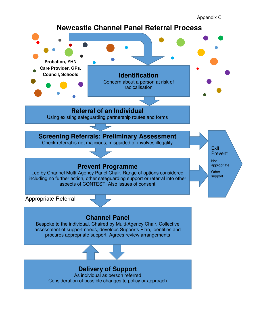Appendix C

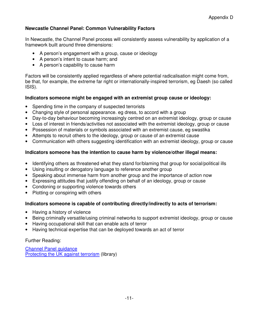#### **Newcastle Channel Panel: Common Vulnerability Factors**

In Newcastle, the Channel Panel process will consistently assess vulnerability by application of a framework built around three dimensions:

- A person's engagement with a group, cause or ideology
- A person's intent to cause harm; and
- A person's capability to cause harm

Factors will be consistently applied regardless of where potential radicalisation might come from, be that, for example, the extreme far right or internationally-inspired terrorism, eg Daesh (so called ISIS).

#### **Indicators someone might be engaged with an extremist group cause or ideology:**

- Spending time in the company of suspected terrorists
- Changing style of personal appearance, eg dress, to accord with a group
- Day-to-day behaviour becoming increasingly centred on an extremist ideology, group or cause
- Loss of interest in friends/activities not associated with the extremist ideology, group or cause
- Possession of materials or symbols associated with an extremist cause, eg swastika
- Attempts to recruit others to the ideology, group or cause of an extremist cause
- Communication with others suggesting identification with an extremist ideology, group or cause

#### **Indicators someone has the intention to cause harm by violence/other illegal means:**

- Identifying others as threatened what they stand for/blaming that group for social/political ills
- Using insulting or derogatory language to reference another group
- Speaking about immense harm from another group and the importance of action now
- Expressing attitudes that justify offending on behalf of an ideology, group or cause
- Condoning or supporting violence towards others
- Plotting or conspiring with others

#### **Indicators someone is capable of contributing directly/indirectly to acts of terrorism:**

- Having a history of violence
- Being criminally versatile/using criminal networks to support extremist ideology, group or cause
- Having occupational skill that can enable acts of terror
- Having technical expertise that can be deployed towards an act of terror

#### Further Reading:

Channel Panel guidance Protecting the UK against terrorism (library)